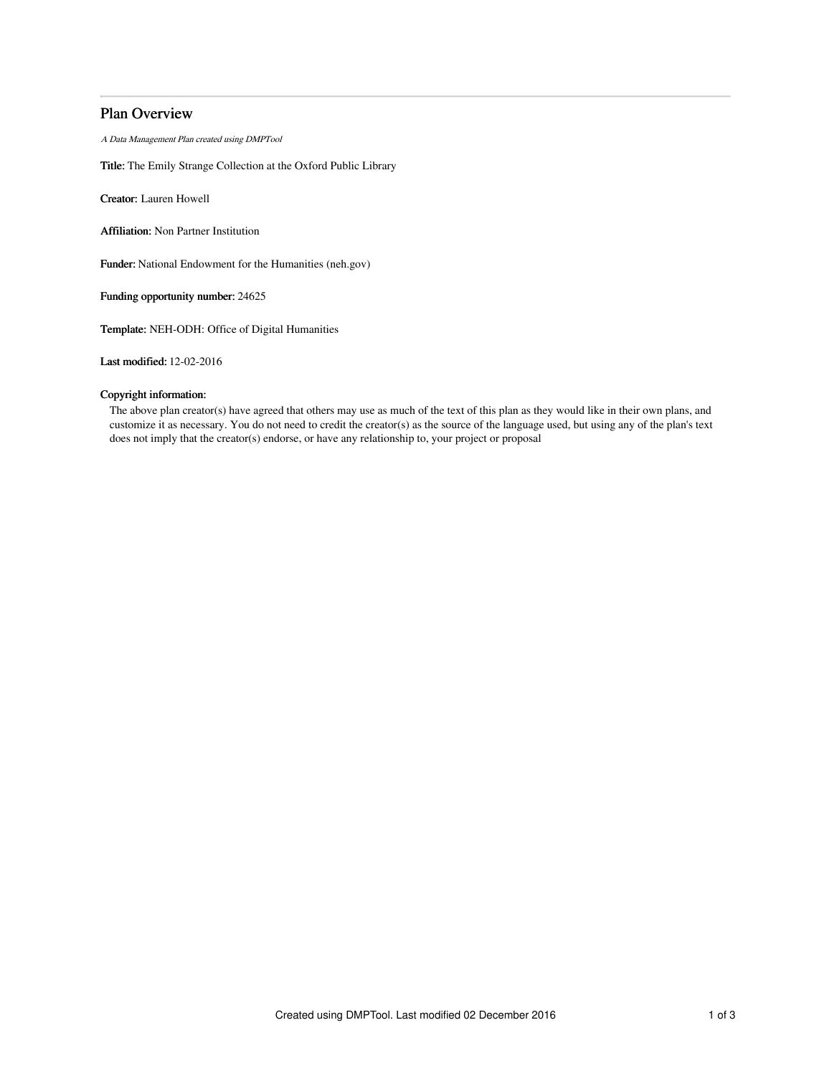# Plan Overview

A Data Management Plan created using DMPTool

Title: The Emily Strange Collection at the Oxford Public Library

Creator: Lauren Howell

Affiliation: Non Partner Institution

Funder: National Endowment for the Humanities (neh.gov)

Funding opportunity number: 24625

Template: NEH-ODH: Office of Digital Humanities

Last modified: 12-02-2016

# Copyright information:

The above plan creator(s) have agreed that others may use as much of the text of this plan as they would like in their own plans, and customize it as necessary. You do not need to credit the creator(s) as the source of the language used, but using any of the plan's text does not imply that the creator(s) endorse, or have any relationship to, your project or proposal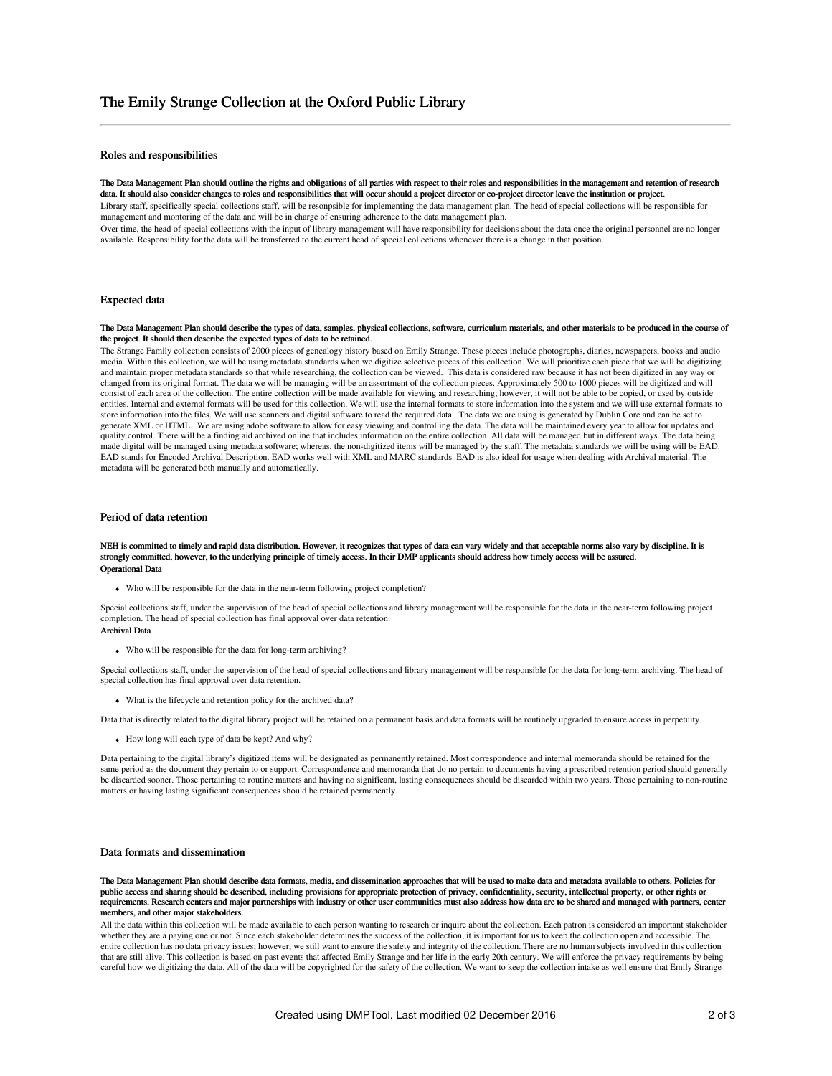# Roles and responsibilities

The Data Management Plan should outline the rights and obligations of all parties with respect to their roles and responsibilities in the management and retention of research data. It should also consider changes to roles and responsibilities that will occur should a project director or co-project director leave the institution or project. Library staff, specifically special collections staff, will be resonpsible for implementing the data management plan. The head of special collections will be responsible for management and montoring of the data and will be in charge of ensuring adherence to the data management plan. Over time, the head of special collections with the input of library management will have responsibility for decisions about the data once the original personnel are no longer

available. Responsibility for the data will be transferred to the current head of special collections whenever there is a change in that position.

### Expected data

### The Data Management Plan should describe the types of data, samples, physical collections, software, curriculum materials, and other materials to be produced in the course of the project. It should then describe the expected types of data to be retained.

The Strange Family collection consists of 2000 pieces of genealogy history based on Emily Strange. These pieces include photographs, diaries, newspapers, books and audio media. Within this collection, we will be using metadata standards when we digitize selective pieces of this collection. We will prioritize each piece that we will be digitizing and maintain proper metadata standards so that while researching, the collection can be viewed. This data is considered raw because it has not been digitized in any way or changed from its original format. The data we will be managing will be an assortment of the collection pieces. Approximately 500 to 1000 pieces will be digitized and will consist of each area of the collection. The entire collection will be made available for viewing and researching; however, it will not be able to be copied, or used by outside entities. Internal and external formats will be used for this collection. We will use the internal formats to store information into the system and we will use external formats to store information into the files. We will use scanners and digital software to read the required data. The data we are using is generated by Dublin Core and can be set to generate XML or HTML. We are using adobe software to allow for easy viewing and controlling the data. The data will be maintained every year to allow for updates and quality control. There will be a finding aid archived online that includes information on the entire collection. All data will be managed but in different ways. The data being made digital will be managed using metadata software; whereas, the non-digitized items will be managed by the staff. The metadata standards we will be using will be EAD. EAD stands for Encoded Archival Description. EAD works well with XML and MARC standards. EAD is also ideal for usage when dealing with Archival material. The metadata will be generated both manually and automatically.

### Period of data retention

#### NEH is committed to timely and rapid data distribution. However, it recognizes that types of data can vary widely and that acceptable norms also vary by discipline. It is strongly committed, however, to the underlying principle of timely access. In their DMP applicants should address how timely access will be assured. Operational Data

Who will be responsible for the data in the near-term following project completion?

Special collections staff, under the supervision of the head of special collections and library management will be responsible for the data in the near-term following project completion. The head of special collection has final approval over data retention. Archival Data

### Who will be responsible for the data for long-term archiving?

Special collections staff, under the supervision of the head of special collections and library management will be responsible for the data for long-term archiving. The head of special collection has final approval over data retention.

What is the lifecycle and retention policy for the archived data?

Data that is directly related to the digital library project will be retained on a permanent basis and data formats will be routinely upgraded to ensure access in perpetuity.

How long will each type of data be kept? And why?

Data pertaining to the digital library's digitized items will be designated as permanently retained. Most correspondence and internal memoranda should be retained for the same period as the document they pertain to or support. Correspondence and memoranda that do no pertain to documents having a prescribed retention period should generally be discarded sooner. Those pertaining to routine matters and having no significant, lasting consequences should be discarded within two years. Those pertaining to non-routine matters or having lasting significant consequences should be retained permanently.

# Data formats and dissemination

The Data Management Plan should describe data formats, media, and dissemination approaches that will be used to make data and metadata available to others. Policies for public access and sharing should be described, including provisions for appropriate protection of privacy, confidentiality, security, intellectual property, or other rights or requirements. Research centers and major partnerships with industry or other user communities must also address how data are to be shared and managed with partners, center members, and other major stakeholders.

All the data within this collection will be made available to each person wanting to research or inquire about the collection. Each patron is considered an important stakeholder whether they are a paying one or not. Since each stakeholder determines the success of the collection, it is important for us to keep the collection open and accessible. The entire collection has no data privacy issues; however, we still want to ensure the safety and integrity of the collection. There are no human subjects involved in this collection that are still alive. This collection is based on past events that affected Emily Strange and her life in the early 20th century. We will enforce the privacy requirements by being careful how we digitizing the data. All of the data will be copyrighted for the safety of the collection. We want to keep the collection intake as well ensure that Emily Strange